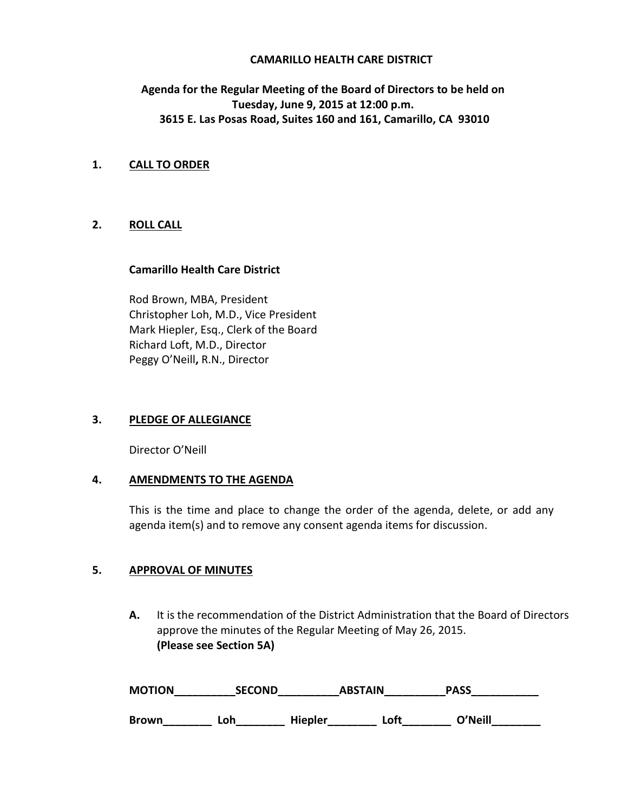## **CAMARILLO HEALTH CARE DISTRICT**

# **Agenda for the Regular Meeting of the Board of Directors to be held on Tuesday, June 9, 2015 at 12:00 p.m. 3615 E. Las Posas Road, Suites 160 and 161, Camarillo, CA 93010**

# **1. CALL TO ORDER**

## **2. ROLL CALL**

#### **Camarillo Health Care District**

Rod Brown, MBA, President Christopher Loh, M.D., Vice President Mark Hiepler, Esq., Clerk of the Board Richard Loft, M.D., Director Peggy O'Neill**,** R.N., Director

#### **3. PLEDGE OF ALLEGIANCE**

Director O'Neill

## **4. AMENDMENTS TO THE AGENDA**

This is the time and place to change the order of the agenda, delete, or add any agenda item(s) and to remove any consent agenda items for discussion.

#### **5. APPROVAL OF MINUTES**

**A.** It is the recommendation of the District Administration that the Board of Directors approve the minutes of the Regular Meeting of May 26, 2015. **(Please see Section 5A)** 

| <b>MOTION</b> | <b>SECOND</b> | <b>ABSTAIN</b> |      | <b>PASS</b> |
|---------------|---------------|----------------|------|-------------|
| <b>Brown</b>  | Loh           | <b>Hiepler</b> | ∟oft | O'Neill     |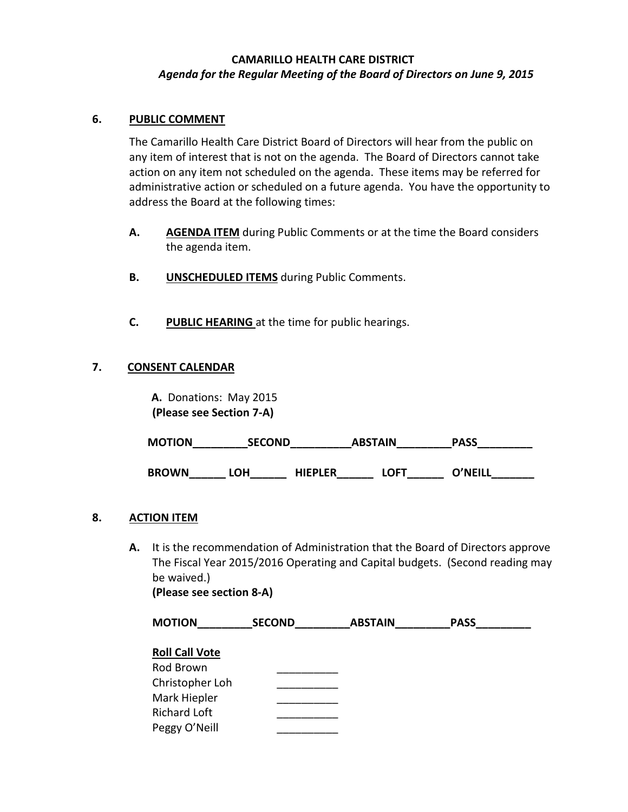# **CAMARILLO HEALTH CARE DISTRICT** *Agenda for the Regular Meeting of the Board of Directors on June 9, 2015*

# **6. PUBLIC COMMENT**

The Camarillo Health Care District Board of Directors will hear from the public on any item of interest that is not on the agenda. The Board of Directors cannot take action on any item not scheduled on the agenda. These items may be referred for administrative action or scheduled on a future agenda. You have the opportunity to address the Board at the following times:

- **A. AGENDA ITEM** during Public Comments or at the time the Board considers the agenda item.
- **B. UNSCHEDULED ITEMS** during Public Comments.
- **C. PUBLIC HEARING** at the time for public hearings.

# **7. CONSENT CALENDAR**

 **A.** Donations: May 2015  **(Please see Section 7-A)** 

MOTION SECOND ABSTAIN PASS

**BROWN\_\_\_\_\_\_ LOH\_\_\_\_\_\_ HIEPLER\_\_\_\_\_\_ LOFT\_\_\_\_\_\_ O'NEILL\_\_\_\_\_\_\_**

## **8. ACTION ITEM**

**A.** It is the recommendation of Administration that the Board of Directors approve The Fiscal Year 2015/2016 Operating and Capital budgets. (Second reading may be waived.) **(Please see section 8-A)**

| <b>MOTION</b>         | <b>SECOND</b> | <b>ABSTAIN</b> | <b>PASS</b> |  |
|-----------------------|---------------|----------------|-------------|--|
| <b>Roll Call Vote</b> |               |                |             |  |
| Rod Brown             |               |                |             |  |
| Christopher Loh       |               |                |             |  |
| Mark Hiepler          |               |                |             |  |
| <b>Richard Loft</b>   |               |                |             |  |
| Peggy O'Neill         |               |                |             |  |
|                       |               |                |             |  |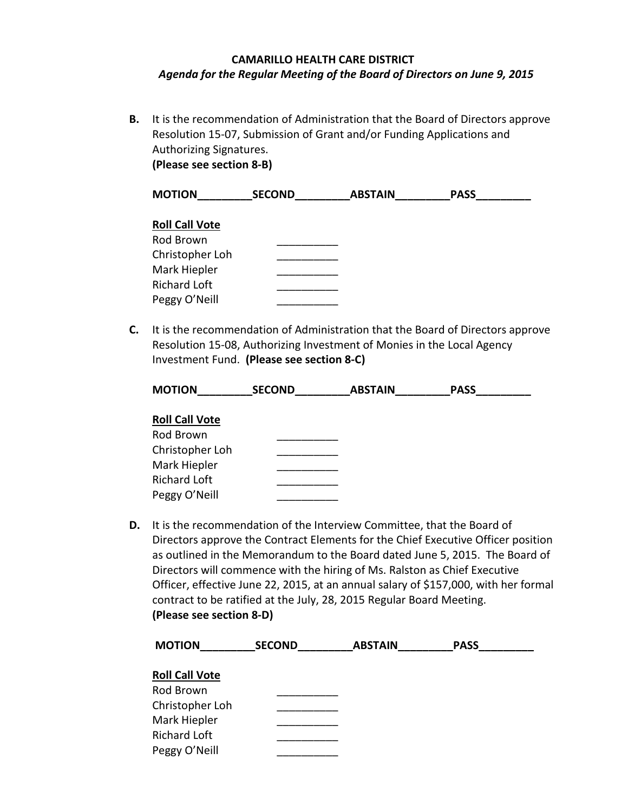# **CAMARILLO HEALTH CARE DISTRICT** *Agenda for the Regular Meeting of the Board of Directors on June 9, 2015*

**B.** It is the recommendation of Administration that the Board of Directors approve Resolution 15-07, Submission of Grant and/or Funding Applications and Authorizing Signatures. **(Please see section 8-B)** 

| <b>MOTION</b>         | <b>SECOND</b> | <b>ABSTAIN</b> | <b>PASS</b> |
|-----------------------|---------------|----------------|-------------|
|                       |               |                |             |
| <b>Roll Call Vote</b> |               |                |             |
| Rod Brown             |               |                |             |
| Christopher Loh       |               |                |             |
| Mark Hiepler          |               |                |             |
| <b>Richard Loft</b>   |               |                |             |
| Peggy O'Neill         |               |                |             |

**C.** It is the recommendation of Administration that the Board of Directors approve Resolution 15-08, Authorizing Investment of Monies in the Local Agency Investment Fund. **(Please see section 8-C)**

| <b>MOTION</b>         | <b>SECOND</b> | <b>ABSTAIN</b> | <b>PASS</b> |  |
|-----------------------|---------------|----------------|-------------|--|
|                       |               |                |             |  |
| <b>Roll Call Vote</b> |               |                |             |  |

| ייטוו כטוו פטנכ     |  |
|---------------------|--|
| Rod Brown           |  |
| Christopher Loh     |  |
| Mark Hiepler        |  |
| <b>Richard Loft</b> |  |
| Peggy O'Neill       |  |
|                     |  |

**D.** It is the recommendation of the Interview Committee, that the Board of Directors approve the Contract Elements for the Chief Executive Officer position as outlined in the Memorandum to the Board dated June 5, 2015. The Board of Directors will commence with the hiring of Ms. Ralston as Chief Executive Officer, effective June 22, 2015, at an annual salary of \$157,000, with her formal contract to be ratified at the July, 28, 2015 Regular Board Meeting. **(Please see section 8-D)** 

| <b>MOTION</b>         | <b>SECOND</b> | <b>ABSTAIN</b> | <b>PASS</b> |  |
|-----------------------|---------------|----------------|-------------|--|
| <b>Roll Call Vote</b> |               |                |             |  |
| Rod Brown             |               |                |             |  |
| Christopher Loh       |               |                |             |  |
| Mark Hiepler          |               |                |             |  |
| Richard Loft          |               |                |             |  |
| Peggy O'Neill         |               |                |             |  |
|                       |               |                |             |  |